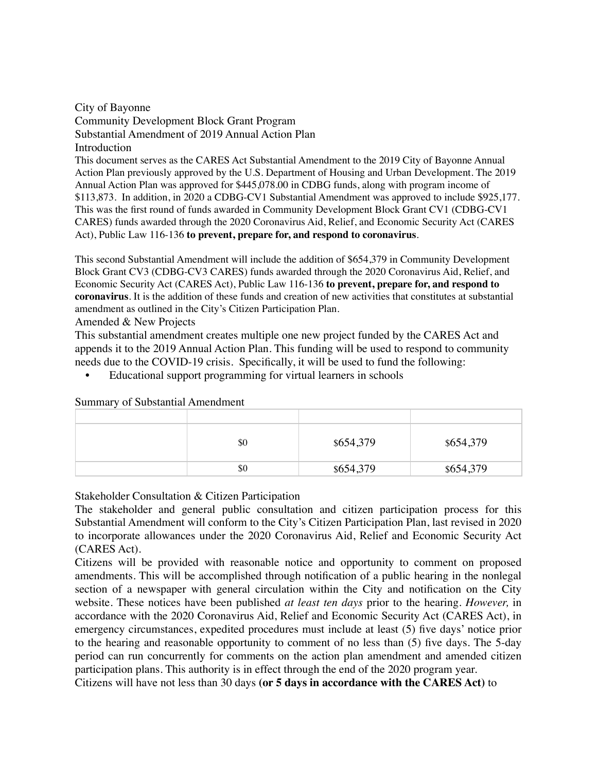City of Bayonne Community Development Block Grant Program Substantial Amendment of 2019 Annual Action Plan **Introduction** This document serves as the CARES Act Substantial Amendment to the 2019 City of Bayonne Annual Action Plan previously approved by the U.S. Department of Housing and Urban Development. The 2019 Annual Action Plan was approved for \$445,078.00 in CDBG funds, along with program income of \$113,873. In addition, in 2020 a CDBG-CV1 Substantial Amendment was approved to include \$925,177. This was the first round of funds awarded in Community Development Block Grant CV1 (CDBG-CV1 CARES) funds awarded through the 2020 Coronavirus Aid, Relief, and Economic Security Act (CARES Act), Public Law 116-136 **to prevent, prepare for, and respond to coronavirus**.

This second Substantial Amendment will include the addition of \$654,379 in Community Development Block Grant CV3 (CDBG-CV3 CARES) funds awarded through the 2020 Coronavirus Aid, Relief, and Economic Security Act (CARES Act), Public Law 116-136 **to prevent, prepare for, and respond to coronavirus**. It is the addition of these funds and creation of new activities that constitutes at substantial amendment as outlined in the City's Citizen Participation Plan.

Amended & New Projects

This substantial amendment creates multiple one new project funded by the CARES Act and appends it to the 2019 Annual Action Plan. This funding will be used to respond to community needs due to the COVID-19 crisis. Specifically, it will be used to fund the following:

• Educational support programming for virtual learners in schools

|  | \$0 | \$654,379 | \$654,379 |
|--|-----|-----------|-----------|
|  | \$0 | \$654,379 | \$654,379 |

Summary of Substantial Amendment

Stakeholder Consultation & Citizen Participation

The stakeholder and general public consultation and citizen participation process for this Substantial Amendment will conform to the City's Citizen Participation Plan, last revised in 2020 to incorporate allowances under the 2020 Coronavirus Aid, Relief and Economic Security Act (CARES Act).

Citizens will be provided with reasonable notice and opportunity to comment on proposed amendments. This will be accomplished through notification of a public hearing in the nonlegal section of a newspaper with general circulation within the City and notification on the City website. These notices have been published *at least ten days* prior to the hearing. *However,* in accordance with the 2020 Coronavirus Aid, Relief and Economic Security Act (CARES Act), in emergency circumstances, expedited procedures must include at least (5) five days' notice prior to the hearing and reasonable opportunity to comment of no less than (5) five days. The 5-day period can run concurrently for comments on the action plan amendment and amended citizen participation plans. This authority is in effect through the end of the 2020 program year.

Citizens will have not less than 30 days **(or 5 days in accordance with the CARES Act)** to